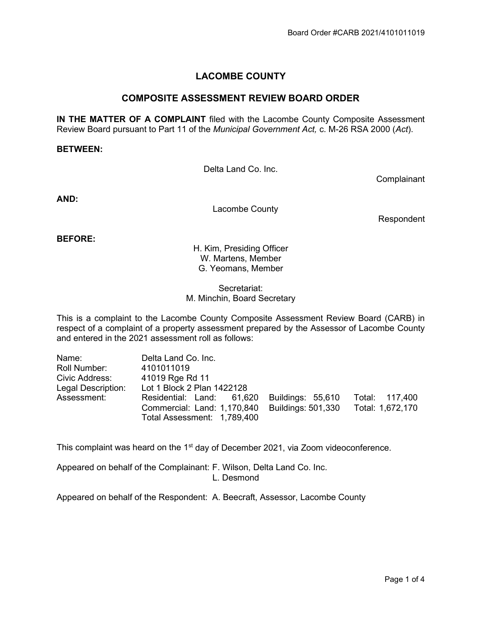# LACOMBE COUNTY

# COMPOSITE ASSESSMENT REVIEW BOARD ORDER

IN THE MATTER OF A COMPLAINT filed with the Lacombe County Composite Assessment Review Board pursuant to Part 11 of the Municipal Government Act, c. M-26 RSA 2000 (Act).

#### BETWEEN:

Delta Land Co. Inc.

**Complainant** 

AND:

Lacombe County

Respondent

BEFORE:

H. Kim, Presiding Officer W. Martens, Member G. Yeomans, Member

Secretariat: M. Minchin, Board Secretary

This is a complaint to the Lacombe County Composite Assessment Review Board (CARB) in respect of a complaint of a property assessment prepared by the Assessor of Lacombe County and entered in the 2021 assessment roll as follows:

| Name:              | Delta Land Co. Inc.         |                    |                  |
|--------------------|-----------------------------|--------------------|------------------|
| Roll Number:       | 4101011019                  |                    |                  |
| Civic Address:     | 41019 Rge Rd 11             |                    |                  |
| Legal Description: | Lot 1 Block 2 Plan 1422128  |                    |                  |
| Assessment:        | Residential: Land: 61,620   | Buildings: 55,610  | Total: 117,400   |
|                    | Commercial: Land: 1,170,840 | Buildings: 501,330 | Total: 1,672,170 |
|                    | Total Assessment: 1,789,400 |                    |                  |

This complaint was heard on the 1<sup>st</sup> day of December 2021, via Zoom videoconference.

Appeared on behalf of the Complainant: F. Wilson, Delta Land Co. Inc. L. Desmond

Appeared on behalf of the Respondent: A. Beecraft, Assessor, Lacombe County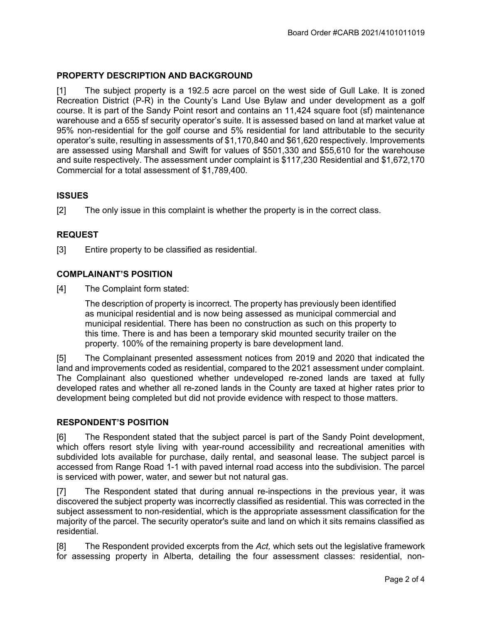# PROPERTY DESCRIPTION AND BACKGROUND

[1] The subject property is a 192.5 acre parcel on the west side of Gull Lake. It is zoned Recreation District (P-R) in the County's Land Use Bylaw and under development as a golf course. It is part of the Sandy Point resort and contains an 11,424 square foot (sf) maintenance warehouse and a 655 sf security operator's suite. It is assessed based on land at market value at 95% non-residential for the golf course and 5% residential for land attributable to the security operator's suite, resulting in assessments of \$1,170,840 and \$61,620 respectively. Improvements are assessed using Marshall and Swift for values of \$501,330 and \$55,610 for the warehouse and suite respectively. The assessment under complaint is \$117,230 Residential and \$1,672,170 Commercial for a total assessment of \$1,789,400.

## **ISSUES**

[2] The only issue in this complaint is whether the property is in the correct class.

#### REQUEST

[3] Entire property to be classified as residential.

#### COMPLAINANT'S POSITION

[4] The Complaint form stated:

The description of property is incorrect. The property has previously been identified as municipal residential and is now being assessed as municipal commercial and municipal residential. There has been no construction as such on this property to this time. There is and has been a temporary skid mounted security trailer on the property. 100% of the remaining property is bare development land.

[5] The Complainant presented assessment notices from 2019 and 2020 that indicated the land and improvements coded as residential, compared to the 2021 assessment under complaint. The Complainant also questioned whether undeveloped re-zoned lands are taxed at fully developed rates and whether all re-zoned lands in the County are taxed at higher rates prior to development being completed but did not provide evidence with respect to those matters.

#### RESPONDENT'S POSITION

[6] The Respondent stated that the subject parcel is part of the Sandy Point development, which offers resort style living with year-round accessibility and recreational amenities with subdivided lots available for purchase, daily rental, and seasonal lease. The subject parcel is accessed from Range Road 1-1 with paved internal road access into the subdivision. The parcel is serviced with power, water, and sewer but not natural gas.

[7] The Respondent stated that during annual re-inspections in the previous year, it was discovered the subject property was incorrectly classified as residential. This was corrected in the subject assessment to non-residential, which is the appropriate assessment classification for the majority of the parcel. The security operator's suite and land on which it sits remains classified as residential.

[8] The Respondent provided excerpts from the Act, which sets out the legislative framework for assessing property in Alberta, detailing the four assessment classes: residential, non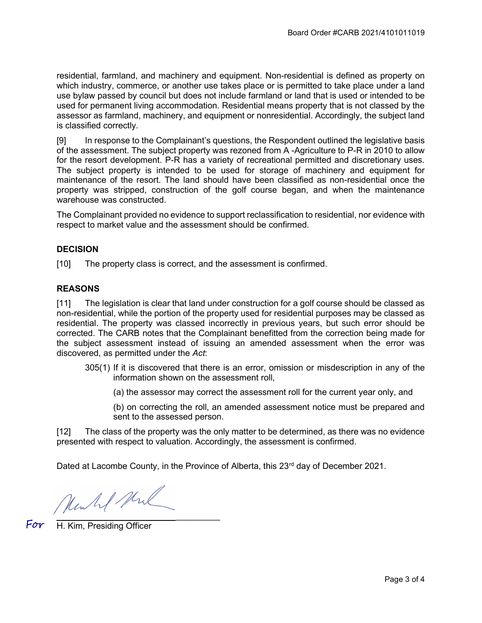residential, farmland, and machinery and equipment. Non-residential is defined as property on which industry, commerce, or another use takes place or is permitted to take place under a land use bylaw passed by council but does not include farmland or land that is used or intended to be used for permanent living accommodation. Residential means property that is not classed by the assessor as farmland, machinery, and equipment or nonresidential. Accordingly, the subject land is classified correctly.

[9] In response to the Complainant's questions, the Respondent outlined the legislative basis of the assessment. The subject property was rezoned from A -Agriculture to P-R in 2010 to allow for the resort development. P-R has a variety of recreational permitted and discretionary uses. The subject property is intended to be used for storage of machinery and equipment for maintenance of the resort. The land should have been classified as non-residential once the property was stripped, construction of the golf course began, and when the maintenance warehouse was constructed.

The Complainant provided no evidence to support reclassification to residential, nor evidence with respect to market value and the assessment should be confirmed.

#### **DECISION**

[10] The property class is correct, and the assessment is confirmed.

#### **REASONS**

[11] The legislation is clear that land under construction for a golf course should be classed as non-residential, while the portion of the property used for residential purposes may be classed as residential. The property was classed incorrectly in previous years, but such error should be corrected. The CARB notes that the Complainant benefitted from the correction being made for the subject assessment instead of issuing an amended assessment when the error was discovered, as permitted under the Act:

- 305(1) If it is discovered that there is an error, omission or misdescription in any of the information shown on the assessment roll,
	- (a) the assessor may correct the assessment roll for the current year only, and
	- (b) on correcting the roll, an amended assessment notice must be prepared and sent to the assessed person.

[12] The class of the property was the only matter to be determined, as there was no evidence presented with respect to valuation. Accordingly, the assessment is confirmed.

Dated at Lacombe County, in the Province of Alberta, this  $23<sup>rd</sup>$  day of December 2021.

Munkel Mul

For H. Kim, Presiding Officer